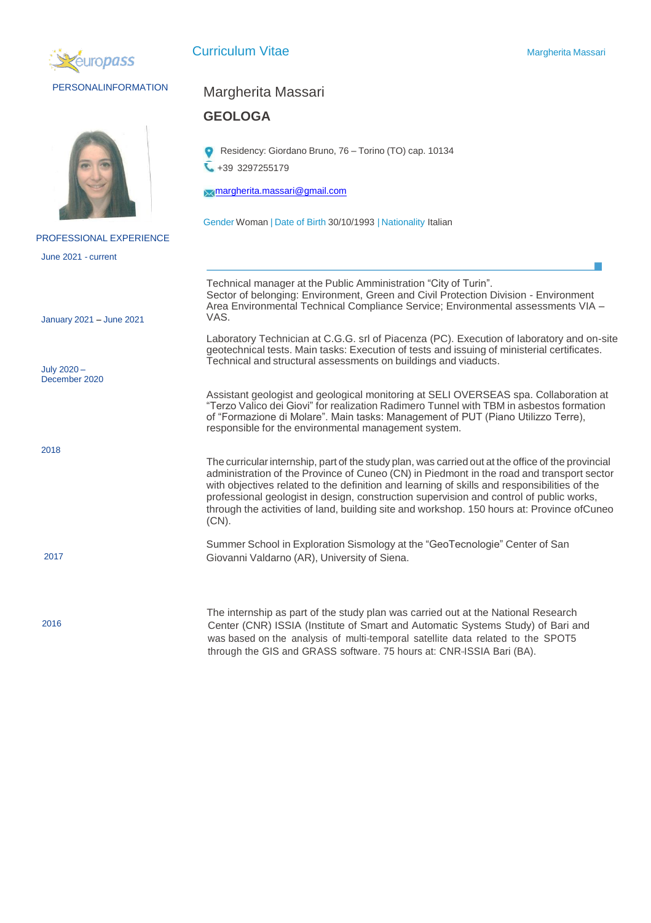

## PERSONALINFORMATION



## PROFESSIONAL EXPERIENCE

June 2021 - current

January 2021 – June 2021

July 2020 – December 2020

2018

2016

## Margherita Massari

## **GEOLOGA**

Residency: Giordano Bruno, 76 – Torino (TO) cap. 10134 +39 3297255179

[margherita.massari@gmail.com](mailto:margherita.massari@gmail.com)

Gender Woman | Date of Birth 30/10/1993 | Nationality Italian

Technical manager at the Public Amministration "City of Turin". Sector of belonging: Environment, Green and Civil Protection Division - Environment Area Environmental Technical Compliance Service; Environmental assessments VIA – VAS. Laboratory Technician at C.G.G. srl of Piacenza (PC). Execution of laboratory and on-site geotechnical tests. Main tasks: Execution of tests and issuing of ministerial certificates. Technical and structural assessments on buildings and viaducts. Assistant geologist and geological monitoring at SELI OVERSEAS spa. Collaboration at "Terzo Valico dei Giovi" for realization Radimero Tunnel with TBM in asbestos formation of "Formazione di Molare". Main tasks: Management of PUT (Piano Utilizzo Terre), responsible for the environmental management system. The curricularinternship, part of the study plan, was carried out at the office of the provincial administration of the Province of Cuneo (CN) in Piedmont in the road and transport sector

with objectives related to the definition and learning of skills and responsibilities of the professional geologist in design, construction supervision and control of public works, through the activities of land, building site and workshop. 150 hours at: Province ofCuneo (CN).

Summer School in Exploration Sismology at the "GeoTecnologie" Center of San 2017 Giovanni Valdarno (AR), University of Siena.

> The internship as part of the study plan was carried out at the National Research Center (CNR) ISSIA (Institute of Smart and Automatic Systems Study) of Bari and was based on the analysis of multi-temporal satellite data related to the SPOT5 through the GIS and GRASS software. 75 hours at: CNR--ISSIA Bari (BA).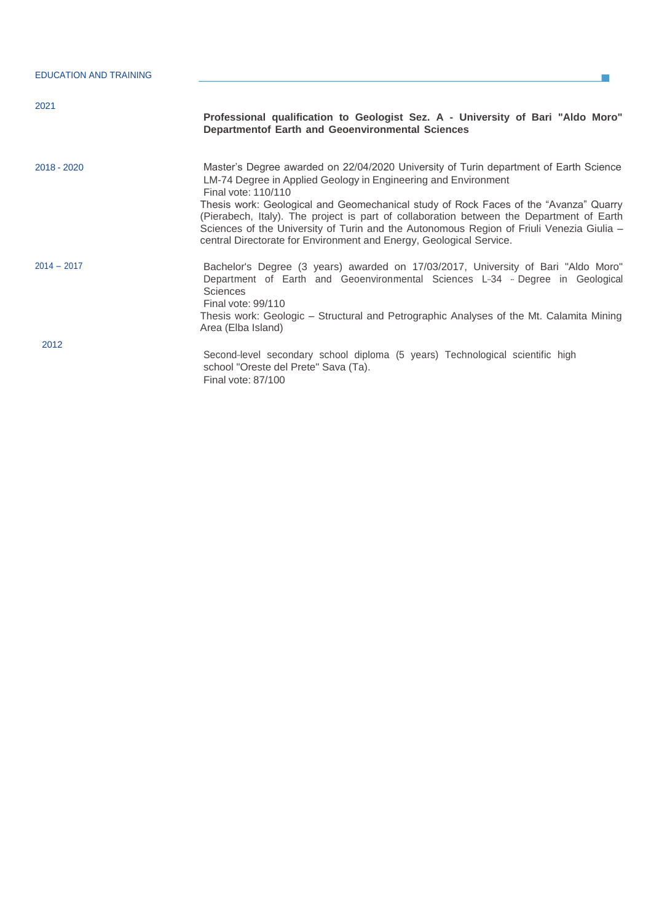| <b>EDUCATION AND TRAINING</b> | Professional qualification to Geologist Sez. A - University of Bari "Aldo Moro"<br><b>Departmentof Earth and Geoenvironmental Sciences</b>                                                                                                                                                                                                                                                                                                                                                                                            |  |  |  |  |  |
|-------------------------------|---------------------------------------------------------------------------------------------------------------------------------------------------------------------------------------------------------------------------------------------------------------------------------------------------------------------------------------------------------------------------------------------------------------------------------------------------------------------------------------------------------------------------------------|--|--|--|--|--|
| 2021                          |                                                                                                                                                                                                                                                                                                                                                                                                                                                                                                                                       |  |  |  |  |  |
| 2018 - 2020                   | Master's Degree awarded on 22/04/2020 University of Turin department of Earth Science<br>LM-74 Degree in Applied Geology in Engineering and Environment<br>Final vote: 110/110<br>Thesis work: Geological and Geomechanical study of Rock Faces of the "Avanza" Quarry<br>(Pierabech, Italy). The project is part of collaboration between the Department of Earth<br>Sciences of the University of Turin and the Autonomous Region of Friuli Venezia Giulia -<br>central Directorate for Environment and Energy, Geological Service. |  |  |  |  |  |
| $2014 - 2017$                 | Bachelor's Degree (3 years) awarded on 17/03/2017, University of Bari "Aldo Moro"<br>Department of Earth and Geoenvironmental Sciences L-34 - Degree in Geological<br><b>Sciences</b><br>Final vote: 99/110<br>Thesis work: Geologic - Structural and Petrographic Analyses of the Mt. Calamita Mining<br>Area (Elba Island)                                                                                                                                                                                                          |  |  |  |  |  |
| 2012                          | Second-level secondary school diploma (5 years) Technological scientific high<br>school "Oreste del Prete" Sava (Ta).<br>Final vote: 87/100                                                                                                                                                                                                                                                                                                                                                                                           |  |  |  |  |  |